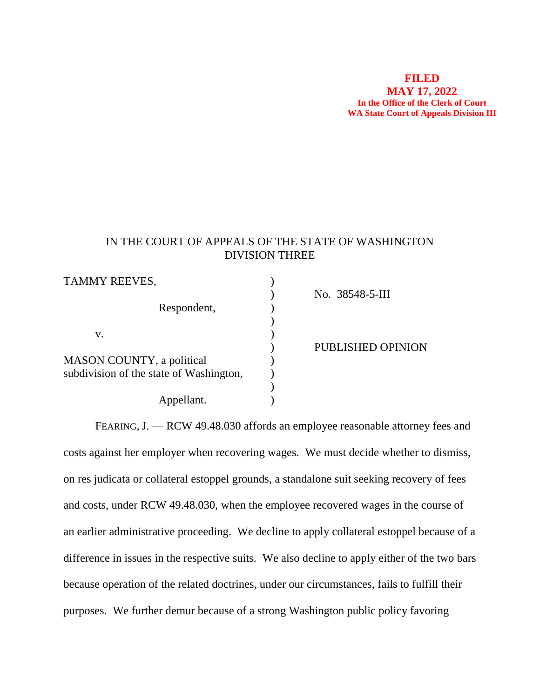#### **FILED MAY 17, 2022 In the Office of the Clerk of Court WA State Court of Appeals Division III**

# IN THE COURT OF APPEALS OF THE STATE OF WASHINGTON DIVISION THREE

| TAMMY REEVES,                           |                   |
|-----------------------------------------|-------------------|
|                                         | No. 38548-5-III   |
| Respondent,                             |                   |
|                                         |                   |
| V.                                      |                   |
|                                         | PUBLISHED OPINION |
| MASON COUNTY, a political               |                   |
| subdivision of the state of Washington, |                   |
|                                         |                   |
| Appellant.                              |                   |

FEARING, J. — RCW 49.48.030 affords an employee reasonable attorney fees and costs against her employer when recovering wages. We must decide whether to dismiss, on res judicata or collateral estoppel grounds, a standalone suit seeking recovery of fees and costs, under RCW 49.48.030, when the employee recovered wages in the course of an earlier administrative proceeding. We decline to apply collateral estoppel because of a difference in issues in the respective suits. We also decline to apply either of the two bars because operation of the related doctrines, under our circumstances, fails to fulfill their purposes. We further demur because of a strong Washington public policy favoring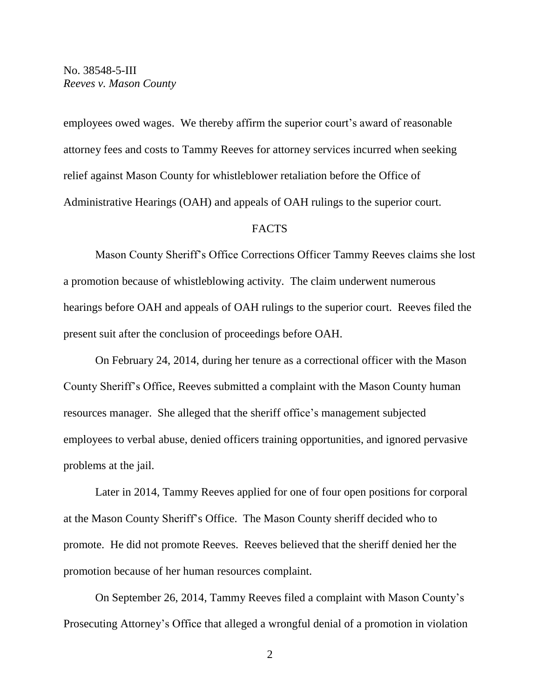employees owed wages. We thereby affirm the superior court's award of reasonable attorney fees and costs to Tammy Reeves for attorney services incurred when seeking relief against Mason County for whistleblower retaliation before the Office of Administrative Hearings (OAH) and appeals of OAH rulings to the superior court.

#### **FACTS**

Mason County Sheriff's Office Corrections Officer Tammy Reeves claims she lost a promotion because of whistleblowing activity. The claim underwent numerous hearings before OAH and appeals of OAH rulings to the superior court. Reeves filed the present suit after the conclusion of proceedings before OAH.

On February 24, 2014, during her tenure as a correctional officer with the Mason County Sheriff's Office, Reeves submitted a complaint with the Mason County human resources manager. She alleged that the sheriff office's management subjected employees to verbal abuse, denied officers training opportunities, and ignored pervasive problems at the jail.

Later in 2014, Tammy Reeves applied for one of four open positions for corporal at the Mason County Sheriff's Office. The Mason County sheriff decided who to promote. He did not promote Reeves. Reeves believed that the sheriff denied her the promotion because of her human resources complaint.

On September 26, 2014, Tammy Reeves filed a complaint with Mason County's Prosecuting Attorney's Office that alleged a wrongful denial of a promotion in violation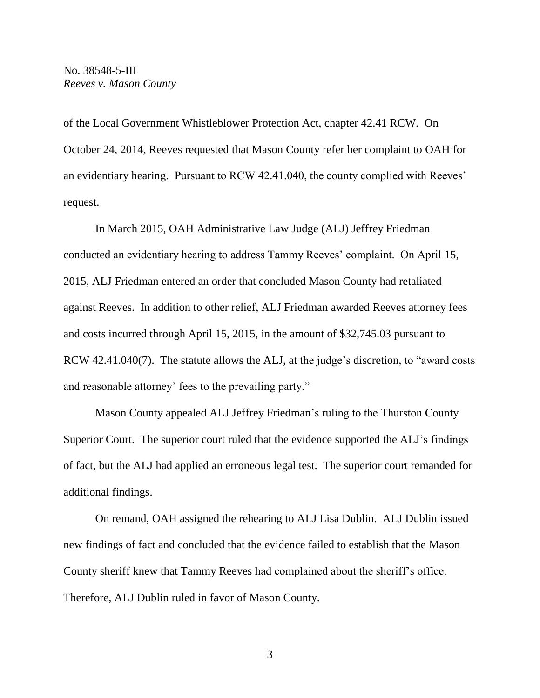of the Local Government Whistleblower Protection Act, chapter 42.41 RCW. On October 24, 2014, Reeves requested that Mason County refer her complaint to OAH for an evidentiary hearing. Pursuant to RCW 42.41.040, the county complied with Reeves' request.

In March 2015, OAH Administrative Law Judge (ALJ) Jeffrey Friedman conducted an evidentiary hearing to address Tammy Reeves' complaint. On April 15, 2015, ALJ Friedman entered an order that concluded Mason County had retaliated against Reeves. In addition to other relief, ALJ Friedman awarded Reeves attorney fees and costs incurred through April 15, 2015, in the amount of \$32,745.03 pursuant to RCW 42.41.040(7). The statute allows the ALJ, at the judge's discretion, to "award costs" and reasonable attorney' fees to the prevailing party."

Mason County appealed ALJ Jeffrey Friedman's ruling to the Thurston County Superior Court. The superior court ruled that the evidence supported the ALJ's findings of fact, but the ALJ had applied an erroneous legal test. The superior court remanded for additional findings.

On remand, OAH assigned the rehearing to ALJ Lisa Dublin. ALJ Dublin issued new findings of fact and concluded that the evidence failed to establish that the Mason County sheriff knew that Tammy Reeves had complained about the sheriff's office. Therefore, ALJ Dublin ruled in favor of Mason County.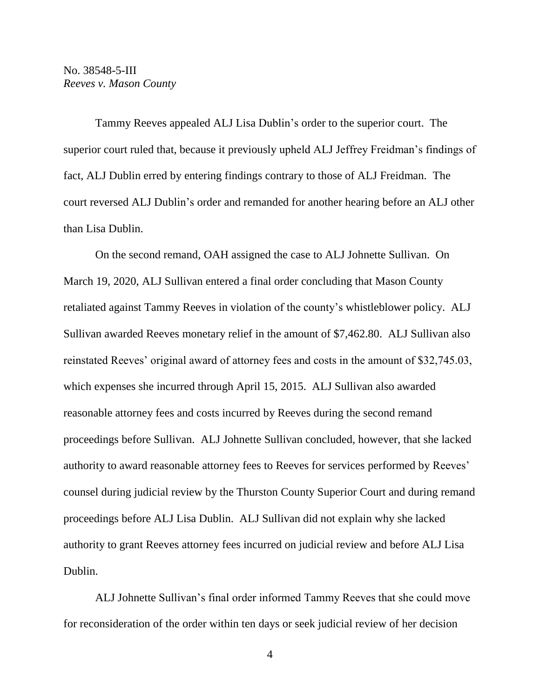Tammy Reeves appealed ALJ Lisa Dublin's order to the superior court. The superior court ruled that, because it previously upheld ALJ Jeffrey Freidman's findings of fact, ALJ Dublin erred by entering findings contrary to those of ALJ Freidman. The court reversed ALJ Dublin's order and remanded for another hearing before an ALJ other than Lisa Dublin.

On the second remand, OAH assigned the case to ALJ Johnette Sullivan. On March 19, 2020, ALJ Sullivan entered a final order concluding that Mason County retaliated against Tammy Reeves in violation of the county's whistleblower policy. ALJ Sullivan awarded Reeves monetary relief in the amount of \$7,462.80. ALJ Sullivan also reinstated Reeves' original award of attorney fees and costs in the amount of \$32,745.03, which expenses she incurred through April 15, 2015. ALJ Sullivan also awarded reasonable attorney fees and costs incurred by Reeves during the second remand proceedings before Sullivan. ALJ Johnette Sullivan concluded, however, that she lacked authority to award reasonable attorney fees to Reeves for services performed by Reeves' counsel during judicial review by the Thurston County Superior Court and during remand proceedings before ALJ Lisa Dublin. ALJ Sullivan did not explain why she lacked authority to grant Reeves attorney fees incurred on judicial review and before ALJ Lisa Dublin.

ALJ Johnette Sullivan's final order informed Tammy Reeves that she could move for reconsideration of the order within ten days or seek judicial review of her decision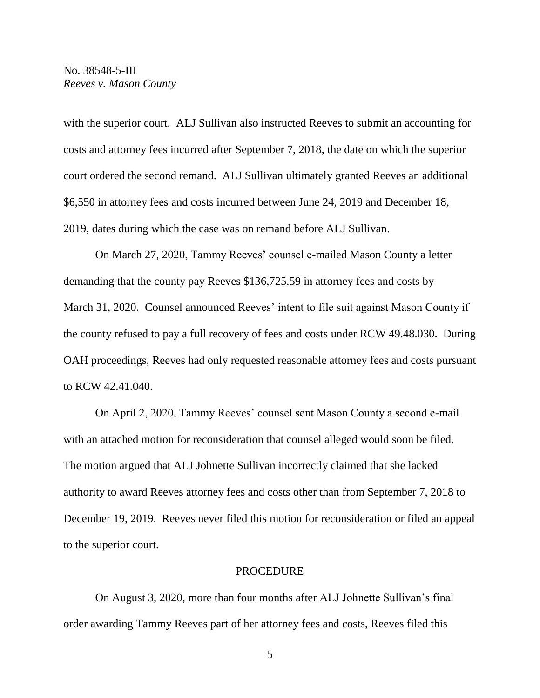with the superior court. ALJ Sullivan also instructed Reeves to submit an accounting for costs and attorney fees incurred after September 7, 2018, the date on which the superior court ordered the second remand. ALJ Sullivan ultimately granted Reeves an additional \$6,550 in attorney fees and costs incurred between June 24, 2019 and December 18, 2019, dates during which the case was on remand before ALJ Sullivan.

On March 27, 2020, Tammy Reeves' counsel e-mailed Mason County a letter demanding that the county pay Reeves \$136,725.59 in attorney fees and costs by March 31, 2020. Counsel announced Reeves' intent to file suit against Mason County if the county refused to pay a full recovery of fees and costs under RCW 49.48.030. During OAH proceedings, Reeves had only requested reasonable attorney fees and costs pursuant to RCW 42.41.040.

On April 2, 2020, Tammy Reeves' counsel sent Mason County a second e-mail with an attached motion for reconsideration that counsel alleged would soon be filed. The motion argued that ALJ Johnette Sullivan incorrectly claimed that she lacked authority to award Reeves attorney fees and costs other than from September 7, 2018 to December 19, 2019. Reeves never filed this motion for reconsideration or filed an appeal to the superior court.

#### **PROCEDURE**

On August 3, 2020, more than four months after ALJ Johnette Sullivan's final order awarding Tammy Reeves part of her attorney fees and costs, Reeves filed this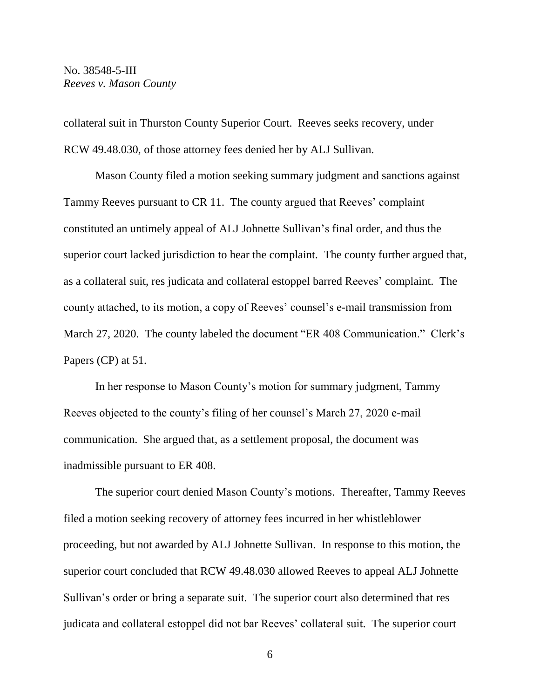collateral suit in Thurston County Superior Court. Reeves seeks recovery, under RCW 49.48.030, of those attorney fees denied her by ALJ Sullivan.

Mason County filed a motion seeking summary judgment and sanctions against Tammy Reeves pursuant to CR 11. The county argued that Reeves' complaint constituted an untimely appeal of ALJ Johnette Sullivan's final order, and thus the superior court lacked jurisdiction to hear the complaint. The county further argued that, as a collateral suit, res judicata and collateral estoppel barred Reeves' complaint. The county attached, to its motion, a copy of Reeves' counsel's e-mail transmission from March 27, 2020. The county labeled the document "ER 408 Communication." Clerk's Papers (CP) at 51.

In her response to Mason County's motion for summary judgment, Tammy Reeves objected to the county's filing of her counsel's March 27, 2020 e-mail communication. She argued that, as a settlement proposal, the document was inadmissible pursuant to ER 408.

The superior court denied Mason County's motions. Thereafter, Tammy Reeves filed a motion seeking recovery of attorney fees incurred in her whistleblower proceeding, but not awarded by ALJ Johnette Sullivan. In response to this motion, the superior court concluded that RCW 49.48.030 allowed Reeves to appeal ALJ Johnette Sullivan's order or bring a separate suit. The superior court also determined that res judicata and collateral estoppel did not bar Reeves' collateral suit. The superior court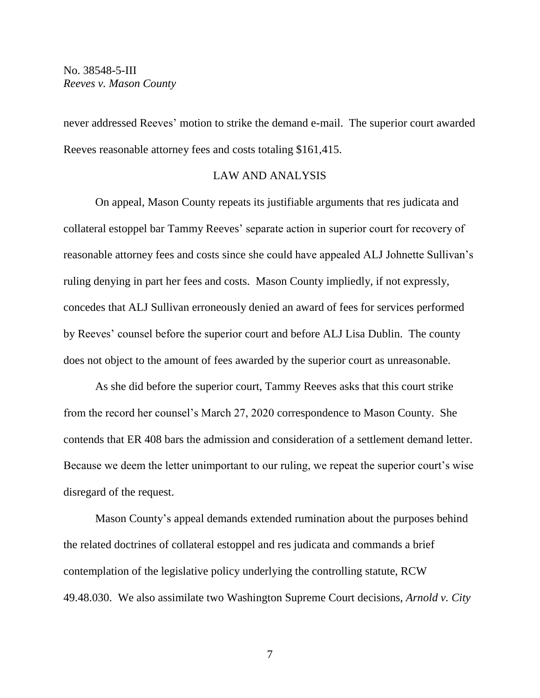never addressed Reeves' motion to strike the demand e-mail. The superior court awarded Reeves reasonable attorney fees and costs totaling \$161,415.

# LAW AND ANALYSIS

On appeal, Mason County repeats its justifiable arguments that res judicata and collateral estoppel bar Tammy Reeves' separate action in superior court for recovery of reasonable attorney fees and costs since she could have appealed ALJ Johnette Sullivan's ruling denying in part her fees and costs. Mason County impliedly, if not expressly, concedes that ALJ Sullivan erroneously denied an award of fees for services performed by Reeves' counsel before the superior court and before ALJ Lisa Dublin. The county does not object to the amount of fees awarded by the superior court as unreasonable.

As she did before the superior court, Tammy Reeves asks that this court strike from the record her counsel's March 27, 2020 correspondence to Mason County. She contends that ER 408 bars the admission and consideration of a settlement demand letter. Because we deem the letter unimportant to our ruling, we repeat the superior court's wise disregard of the request.

Mason County's appeal demands extended rumination about the purposes behind the related doctrines of collateral estoppel and res judicata and commands a brief contemplation of the legislative policy underlying the controlling statute, RCW 49.48.030. We also assimilate two Washington Supreme Court decisions, *Arnold v. City*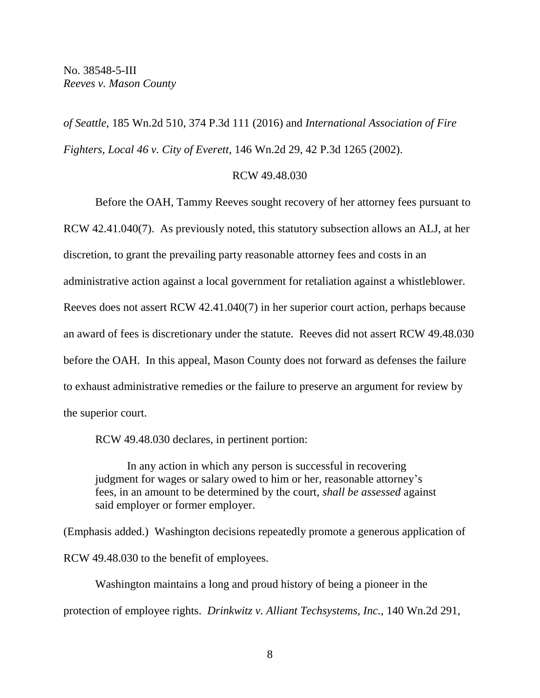*of Seattle*, 185 Wn.2d 510, 374 P.3d 111 (2016) and *International Association of Fire Fighters, Local 46 v. City of Everett*, 146 Wn.2d 29, 42 P.3d 1265 (2002).

#### RCW 49.48.030

Before the OAH, Tammy Reeves sought recovery of her attorney fees pursuant to RCW 42.41.040(7). As previously noted, this statutory subsection allows an ALJ, at her discretion, to grant the prevailing party reasonable attorney fees and costs in an administrative action against a local government for retaliation against a whistleblower. Reeves does not assert RCW 42.41.040(7) in her superior court action, perhaps because an award of fees is discretionary under the statute. Reeves did not assert RCW 49.48.030 before the OAH. In this appeal, Mason County does not forward as defenses the failure to exhaust administrative remedies or the failure to preserve an argument for review by the superior court.

RCW 49.48.030 declares, in pertinent portion:

In any action in which any person is successful in recovering judgment for wages or salary owed to him or her, reasonable attorney's fees, in an amount to be determined by the court, *shall be assessed* against said employer or former employer.

(Emphasis added.) Washington decisions repeatedly promote a generous application of RCW 49.48.030 to the benefit of employees.

Washington maintains a long and proud history of being a pioneer in the protection of employee rights. *Drinkwitz v. Alliant Techsystems, Inc.*, 140 Wn.2d 291,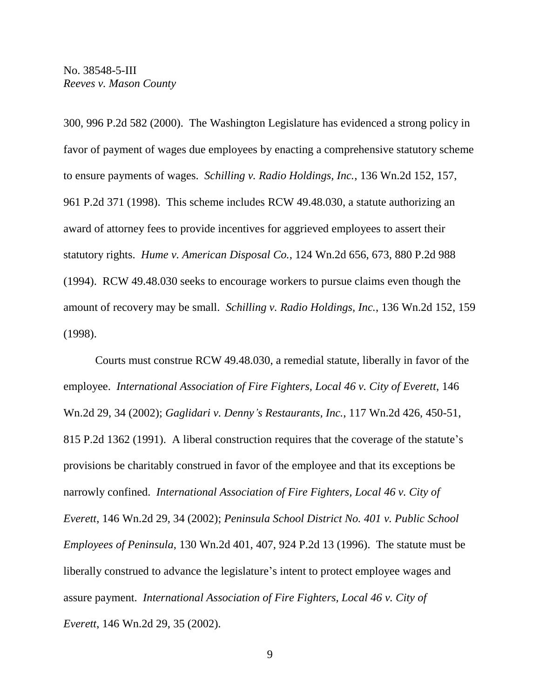300, 996 P.2d 582 (2000). The Washington Legislature has evidenced a strong policy in favor of payment of wages due employees by enacting a comprehensive statutory scheme to ensure payments of wages. *Schilling v. Radio Holdings, Inc.*, 136 Wn.2d 152, 157, 961 P.2d 371 (1998). This scheme includes RCW 49.48.030, a statute authorizing an award of attorney fees to provide incentives for aggrieved employees to assert their statutory rights. *Hume v. American Disposal Co.*, 124 Wn.2d 656, 673, 880 P.2d 988 (1994). RCW 49.48.030 seeks to encourage workers to pursue claims even though the amount of recovery may be small. *Schilling v. Radio Holdings, Inc.*, 136 Wn.2d 152, 159 (1998).

Courts must construe RCW 49.48.030, a remedial statute, liberally in favor of the employee. *International Association of Fire Fighters, Local 46 v. City of Everett*, 146 Wn.2d 29, 34 (2002); *Gaglidari v. Denny's Restaurants, Inc.*, 117 Wn.2d 426, 450-51, 815 P.2d 1362 (1991). A liberal construction requires that the coverage of the statute's provisions be charitably construed in favor of the employee and that its exceptions be narrowly confined. *International Association of Fire Fighters, Local 46 v. City of Everett*, 146 Wn.2d 29, 34 (2002); *Peninsula School District No. 401 v. Public School Employees of Peninsula*, 130 Wn.2d 401, 407, 924 P.2d 13 (1996). The statute must be liberally construed to advance the legislature's intent to protect employee wages and assure payment. *International Association of Fire Fighters, Local 46 v. City of Everett*, 146 Wn.2d 29, 35 (2002).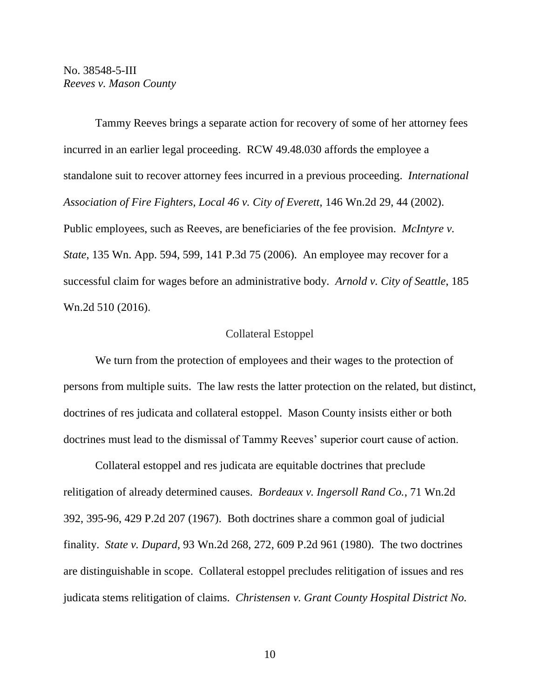Tammy Reeves brings a separate action for recovery of some of her attorney fees incurred in an earlier legal proceeding. RCW 49.48.030 affords the employee a standalone suit to recover attorney fees incurred in a previous proceeding. *International Association of Fire Fighters, Local 46 v. City of Everett*, 146 Wn.2d 29, 44 (2002). Public employees, such as Reeves, are beneficiaries of the fee provision. *McIntyre v. State*, 135 Wn. App. 594, 599, 141 P.3d 75 (2006). An employee may recover for a successful claim for wages before an administrative body. *Arnold v. City of Seattle*, 185 Wn.2d 510 (2016).

#### Collateral Estoppel

We turn from the protection of employees and their wages to the protection of persons from multiple suits. The law rests the latter protection on the related, but distinct, doctrines of res judicata and collateral estoppel. Mason County insists either or both doctrines must lead to the dismissal of Tammy Reeves' superior court cause of action.

Collateral estoppel and res judicata are equitable doctrines that preclude relitigation of already determined causes. *Bordeaux v. Ingersoll Rand Co.*, 71 Wn.2d 392, 395-96, 429 P.2d 207 (1967). Both doctrines share a common goal of judicial finality. *State v. Dupard*, 93 Wn.2d 268, 272, 609 P.2d 961 (1980). The two doctrines are distinguishable in scope. Collateral estoppel precludes relitigation of issues and res judicata stems relitigation of claims. *Christensen v. Grant County Hospital District No.*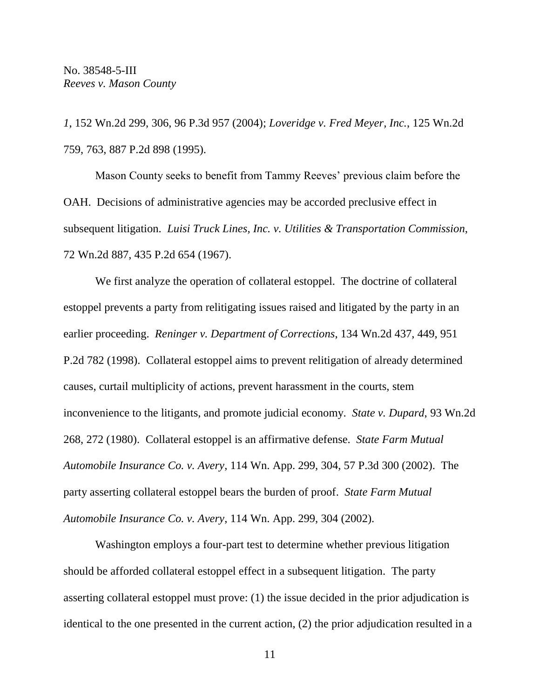*1*, 152 Wn.2d 299, 306, 96 P.3d 957 (2004); *Loveridge v. Fred Meyer, Inc.*, 125 Wn.2d 759, 763, 887 P.2d 898 (1995).

Mason County seeks to benefit from Tammy Reeves' previous claim before the OAH. Decisions of administrative agencies may be accorded preclusive effect in subsequent litigation. *Luisi Truck Lines, Inc. v. Utilities & Transportation Commission*, 72 Wn.2d 887, 435 P.2d 654 (1967).

We first analyze the operation of collateral estoppel. The doctrine of collateral estoppel prevents a party from relitigating issues raised and litigated by the party in an earlier proceeding. *Reninger v. Department of Corrections*, 134 Wn.2d 437, 449, 951 P.2d 782 (1998). Collateral estoppel aims to prevent relitigation of already determined causes, curtail multiplicity of actions, prevent harassment in the courts, stem inconvenience to the litigants, and promote judicial economy. *State v. Dupard*, 93 Wn.2d 268, 272 (1980). Collateral estoppel is an affirmative defense. *State Farm Mutual Automobile Insurance Co. v. Avery*, 114 Wn. App. 299, 304, 57 P.3d 300 (2002). The party asserting collateral estoppel bears the burden of proof. *State Farm Mutual Automobile Insurance Co. v. Avery*, 114 Wn. App. 299, 304 (2002).

Washington employs a four-part test to determine whether previous litigation should be afforded collateral estoppel effect in a subsequent litigation. The party asserting collateral estoppel must prove: (1) the issue decided in the prior adjudication is identical to the one presented in the current action, (2) the prior adjudication resulted in a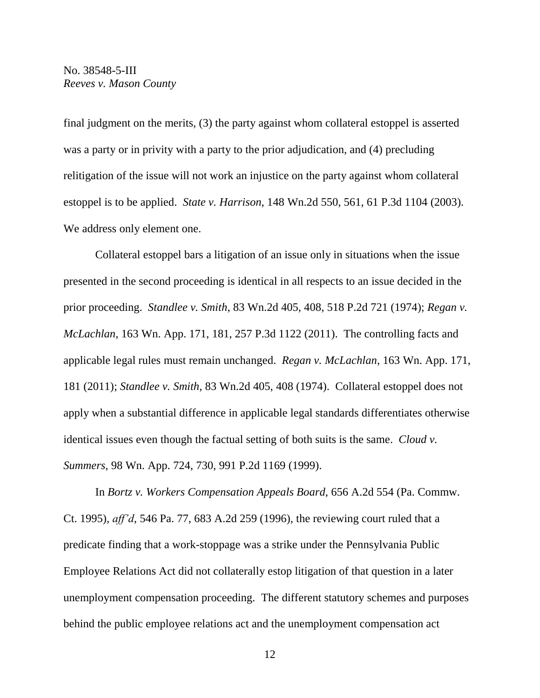final judgment on the merits, (3) the party against whom collateral estoppel is asserted was a party or in privity with a party to the prior adjudication, and (4) precluding relitigation of the issue will not work an injustice on the party against whom collateral estoppel is to be applied. *State v. Harrison*, 148 Wn.2d 550, 561, 61 P.3d 1104 (2003). We address only element one.

Collateral estoppel bars a litigation of an issue only in situations when the issue presented in the second proceeding is identical in all respects to an issue decided in the prior proceeding. *Standlee v. Smith*, 83 Wn.2d 405, 408, 518 P.2d 721 (1974); *Regan v. McLachlan*, 163 Wn. App. 171, 181, 257 P.3d 1122 (2011). The controlling facts and applicable legal rules must remain unchanged. *Regan v. McLachlan*, 163 Wn. App. 171, 181 (2011); *Standlee v. Smith*, 83 Wn.2d 405, 408 (1974). Collateral estoppel does not apply when a substantial difference in applicable legal standards differentiates otherwise identical issues even though the factual setting of both suits is the same. *Cloud v. Summers*, 98 Wn. App. 724, 730, 991 P.2d 1169 (1999).

In *Bortz v. Workers Compensation Appeals Board*, 656 A.2d 554 (Pa. Commw. Ct. 1995), *aff'd*, 546 Pa. 77, 683 A.2d 259 (1996), the reviewing court ruled that a predicate finding that a work-stoppage was a strike under the Pennsylvania Public Employee Relations Act did not collaterally estop litigation of that question in a later unemployment compensation proceeding. The different statutory schemes and purposes behind the public employee relations act and the unemployment compensation act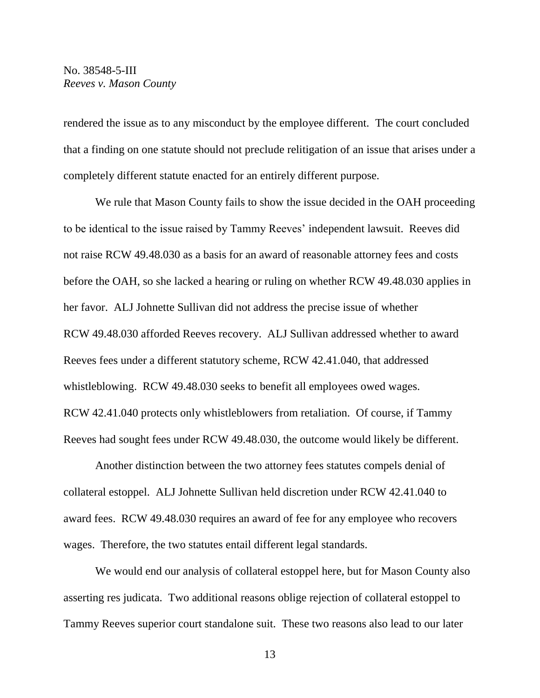rendered the issue as to any misconduct by the employee different. The court concluded that a finding on one statute should not preclude relitigation of an issue that arises under a completely different statute enacted for an entirely different purpose.

We rule that Mason County fails to show the issue decided in the OAH proceeding to be identical to the issue raised by Tammy Reeves' independent lawsuit. Reeves did not raise RCW 49.48.030 as a basis for an award of reasonable attorney fees and costs before the OAH, so she lacked a hearing or ruling on whether RCW 49.48.030 applies in her favor. ALJ Johnette Sullivan did not address the precise issue of whether RCW 49.48.030 afforded Reeves recovery. ALJ Sullivan addressed whether to award Reeves fees under a different statutory scheme, RCW 42.41.040, that addressed whistleblowing. RCW 49.48.030 seeks to benefit all employees owed wages. RCW 42.41.040 protects only whistleblowers from retaliation. Of course, if Tammy Reeves had sought fees under RCW 49.48.030, the outcome would likely be different.

Another distinction between the two attorney fees statutes compels denial of collateral estoppel. ALJ Johnette Sullivan held discretion under RCW 42.41.040 to award fees. RCW 49.48.030 requires an award of fee for any employee who recovers wages. Therefore, the two statutes entail different legal standards.

We would end our analysis of collateral estoppel here, but for Mason County also asserting res judicata. Two additional reasons oblige rejection of collateral estoppel to Tammy Reeves superior court standalone suit. These two reasons also lead to our later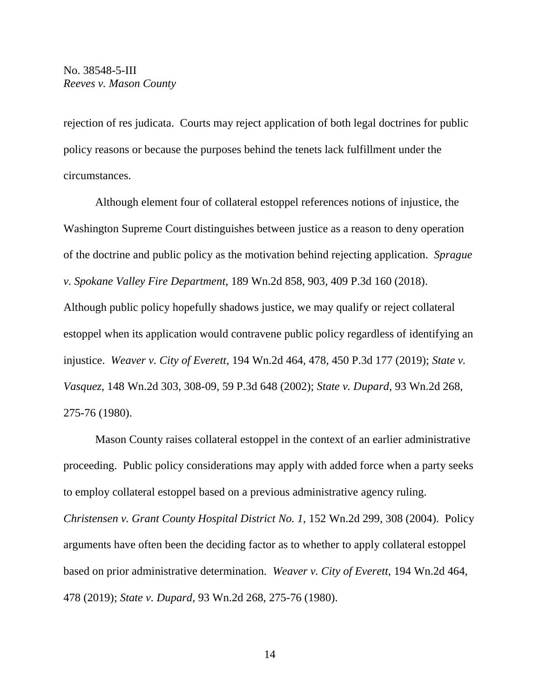rejection of res judicata. Courts may reject application of both legal doctrines for public policy reasons or because the purposes behind the tenets lack fulfillment under the circumstances.

Although element four of collateral estoppel references notions of injustice, the Washington Supreme Court distinguishes between justice as a reason to deny operation of the doctrine and public policy as the motivation behind rejecting application. *Sprague v. Spokane Valley Fire Department*, 189 Wn.2d 858, 903, 409 P.3d 160 (2018). Although public policy hopefully shadows justice, we may qualify or reject collateral estoppel when its application would contravene public policy regardless of identifying an injustice. *Weaver v. City of Everett*, 194 Wn.2d 464, 478, 450 P.3d 177 (2019); *State v. Vasquez*, 148 Wn.2d 303, 308-09, 59 P.3d 648 (2002); *State v. Dupard*, 93 Wn.2d 268, 275-76 (1980).

Mason County raises collateral estoppel in the context of an earlier administrative proceeding. Public policy considerations may apply with added force when a party seeks to employ collateral estoppel based on a previous administrative agency ruling. *Christensen v. Grant County Hospital District No. 1*, 152 Wn.2d 299, 308 (2004). Policy arguments have often been the deciding factor as to whether to apply collateral estoppel based on prior administrative determination. *Weaver v. City of Everett*, 194 Wn.2d 464, 478 (2019); *State v. Dupard*, 93 Wn.2d 268, 275-76 (1980).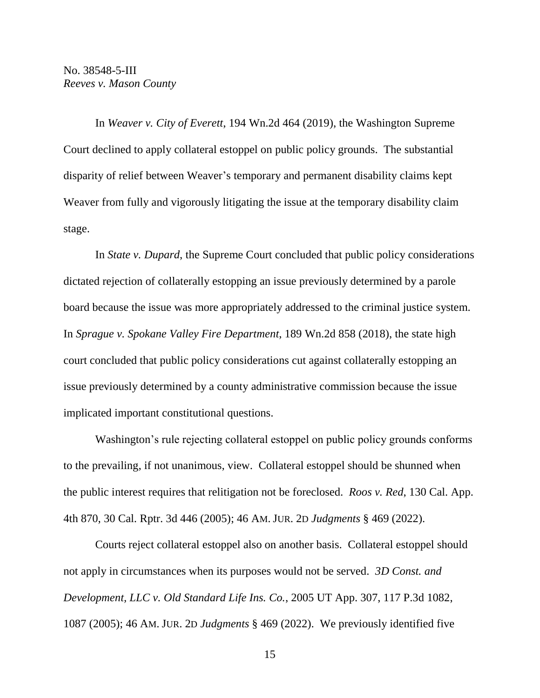In *Weaver v. City of Everett*, 194 Wn.2d 464 (2019), the Washington Supreme Court declined to apply collateral estoppel on public policy grounds. The substantial disparity of relief between Weaver's temporary and permanent disability claims kept Weaver from fully and vigorously litigating the issue at the temporary disability claim stage.

In *State v. Dupard*, the Supreme Court concluded that public policy considerations dictated rejection of collaterally estopping an issue previously determined by a parole board because the issue was more appropriately addressed to the criminal justice system. In *Sprague v. Spokane Valley Fire Department*, 189 Wn.2d 858 (2018), the state high court concluded that public policy considerations cut against collaterally estopping an issue previously determined by a county administrative commission because the issue implicated important constitutional questions.

Washington's rule rejecting collateral estoppel on public policy grounds conforms to the prevailing, if not unanimous, view. Collateral estoppel should be shunned when the public interest requires that relitigation not be foreclosed. *Roos v. Red*, 130 Cal. App. 4th 870, 30 Cal. Rptr. 3d 446 (2005); 46 AM. JUR. 2D *Judgments* § 469 (2022).

Courts reject collateral estoppel also on another basis. Collateral estoppel should not apply in circumstances when its purposes would not be served. *3D Const. and Development, LLC v. Old Standard Life Ins. Co.*, 2005 UT App. 307, 117 P.3d 1082, 1087 (2005); 46 AM. JUR. 2D *Judgments* § 469 (2022). We previously identified five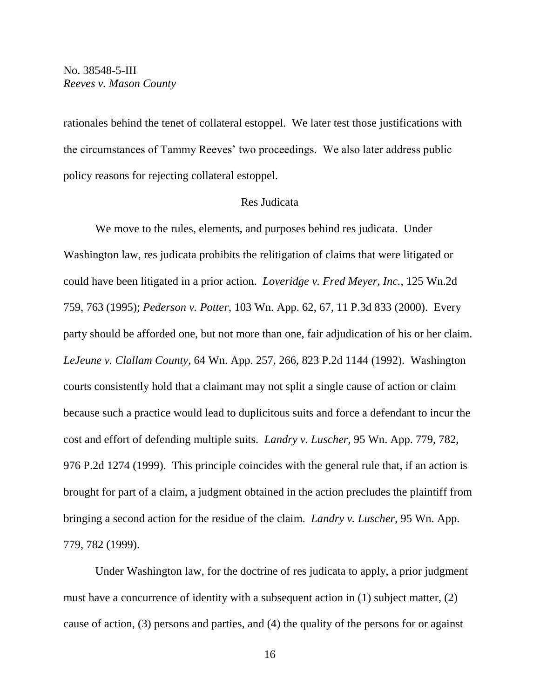rationales behind the tenet of collateral estoppel. We later test those justifications with the circumstances of Tammy Reeves' two proceedings. We also later address public policy reasons for rejecting collateral estoppel.

### Res Judicata

We move to the rules, elements, and purposes behind res judicata. Under Washington law, res judicata prohibits the relitigation of claims that were litigated or could have been litigated in a prior action. *Loveridge v. Fred Meyer, Inc.*, 125 Wn.2d 759, 763 (1995); *Pederson v. Potter*, 103 Wn. App. 62, 67, 11 P.3d 833 (2000). Every party should be afforded one, but not more than one, fair adjudication of his or her claim. *LeJeune v. Clallam County*, 64 Wn. App. 257, 266, 823 P.2d 1144 (1992). Washington courts consistently hold that a claimant may not split a single cause of action or claim because such a practice would lead to duplicitous suits and force a defendant to incur the cost and effort of defending multiple suits. *Landry v. Luscher*, 95 Wn. App. 779, 782, 976 P.2d 1274 (1999). This principle coincides with the general rule that, if an action is brought for part of a claim, a judgment obtained in the action precludes the plaintiff from bringing a second action for the residue of the claim. *Landry v. Luscher*, 95 Wn. App. 779, 782 (1999).

Under Washington law, for the doctrine of res judicata to apply, a prior judgment must have a concurrence of identity with a subsequent action in (1) subject matter, (2) cause of action, (3) persons and parties, and (4) the quality of the persons for or against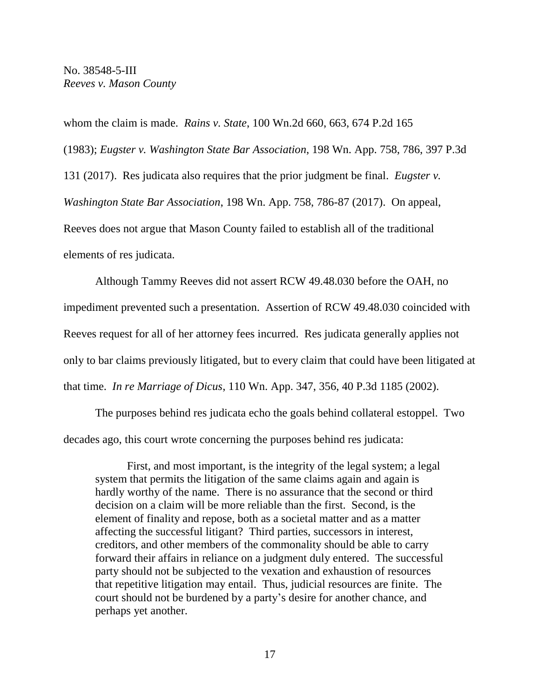whom the claim is made. *Rains v. State*, 100 Wn.2d 660, 663, 674 P.2d 165 (1983); *Eugster v. Washington State Bar Association*, 198 Wn. App. 758, 786, 397 P.3d 131 (2017). Res judicata also requires that the prior judgment be final. *Eugster v. Washington State Bar Association*, 198 Wn. App. 758, 786-87 (2017). On appeal, Reeves does not argue that Mason County failed to establish all of the traditional elements of res judicata.

Although Tammy Reeves did not assert RCW 49.48.030 before the OAH, no impediment prevented such a presentation. Assertion of RCW 49.48.030 coincided with Reeves request for all of her attorney fees incurred. Res judicata generally applies not only to bar claims previously litigated, but to every claim that could have been litigated at that time. *In re Marriage of Dicus*, 110 Wn. App. 347, 356, 40 P.3d 1185 (2002).

The purposes behind res judicata echo the goals behind collateral estoppel. Two decades ago, this court wrote concerning the purposes behind res judicata:

First, and most important, is the integrity of the legal system; a legal system that permits the litigation of the same claims again and again is hardly worthy of the name. There is no assurance that the second or third decision on a claim will be more reliable than the first. Second, is the element of finality and repose, both as a societal matter and as a matter affecting the successful litigant? Third parties, successors in interest, creditors, and other members of the commonality should be able to carry forward their affairs in reliance on a judgment duly entered. The successful party should not be subjected to the vexation and exhaustion of resources that repetitive litigation may entail. Thus, judicial resources are finite. The court should not be burdened by a party's desire for another chance, and perhaps yet another.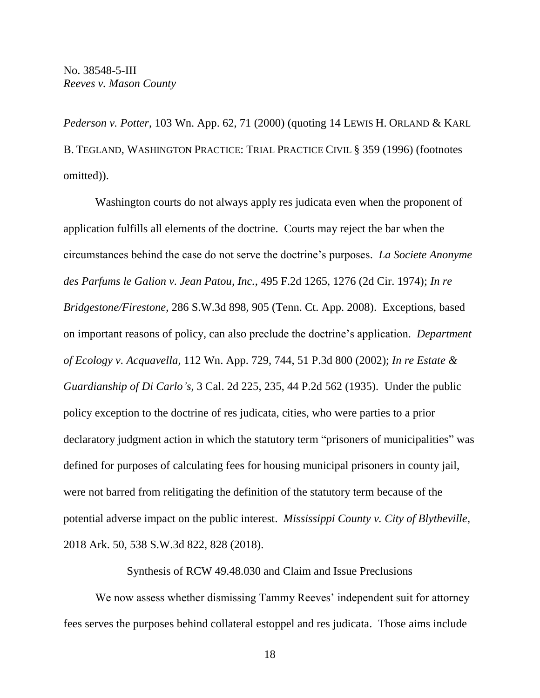*Pederson v. Potter*, 103 Wn. App. 62, 71 (2000) (quoting 14 LEWIS H. ORLAND & KARL B. TEGLAND, WASHINGTON PRACTICE: TRIAL PRACTICE CIVIL § 359 (1996) (footnotes omitted)).

Washington courts do not always apply res judicata even when the proponent of application fulfills all elements of the doctrine. Courts may reject the bar when the circumstances behind the case do not serve the doctrine's purposes. *La Societe Anonyme des Parfums le Galion v. Jean Patou, Inc.*, 495 F.2d 1265, 1276 (2d Cir. 1974); *In re Bridgestone/Firestone*, 286 S.W.3d 898, 905 (Tenn. Ct. App. 2008). Exceptions, based on important reasons of policy, can also preclude the doctrine's application. *Department of Ecology v. Acquavella*, 112 Wn. App. 729, 744, 51 P.3d 800 (2002); *In re Estate & Guardianship of Di Carlo's*, 3 Cal. 2d 225, 235, 44 P.2d 562 (1935). Under the public policy exception to the doctrine of res judicata, cities, who were parties to a prior declaratory judgment action in which the statutory term "prisoners of municipalities" was defined for purposes of calculating fees for housing municipal prisoners in county jail, were not barred from relitigating the definition of the statutory term because of the potential adverse impact on the public interest. *Mississippi County v. City of Blytheville*, 2018 Ark. 50, 538 S.W.3d 822, 828 (2018).

Synthesis of RCW 49.48.030 and Claim and Issue Preclusions

We now assess whether dismissing Tammy Reeves' independent suit for attorney fees serves the purposes behind collateral estoppel and res judicata. Those aims include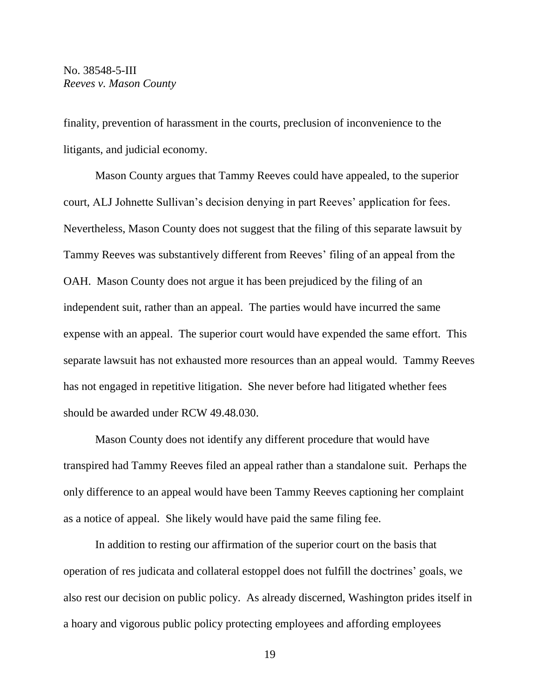finality, prevention of harassment in the courts, preclusion of inconvenience to the litigants, and judicial economy.

Mason County argues that Tammy Reeves could have appealed, to the superior court, ALJ Johnette Sullivan's decision denying in part Reeves' application for fees. Nevertheless, Mason County does not suggest that the filing of this separate lawsuit by Tammy Reeves was substantively different from Reeves' filing of an appeal from the OAH. Mason County does not argue it has been prejudiced by the filing of an independent suit, rather than an appeal. The parties would have incurred the same expense with an appeal. The superior court would have expended the same effort. This separate lawsuit has not exhausted more resources than an appeal would. Tammy Reeves has not engaged in repetitive litigation. She never before had litigated whether fees should be awarded under RCW 49.48.030.

Mason County does not identify any different procedure that would have transpired had Tammy Reeves filed an appeal rather than a standalone suit. Perhaps the only difference to an appeal would have been Tammy Reeves captioning her complaint as a notice of appeal. She likely would have paid the same filing fee.

In addition to resting our affirmation of the superior court on the basis that operation of res judicata and collateral estoppel does not fulfill the doctrines' goals, we also rest our decision on public policy. As already discerned, Washington prides itself in a hoary and vigorous public policy protecting employees and affording employees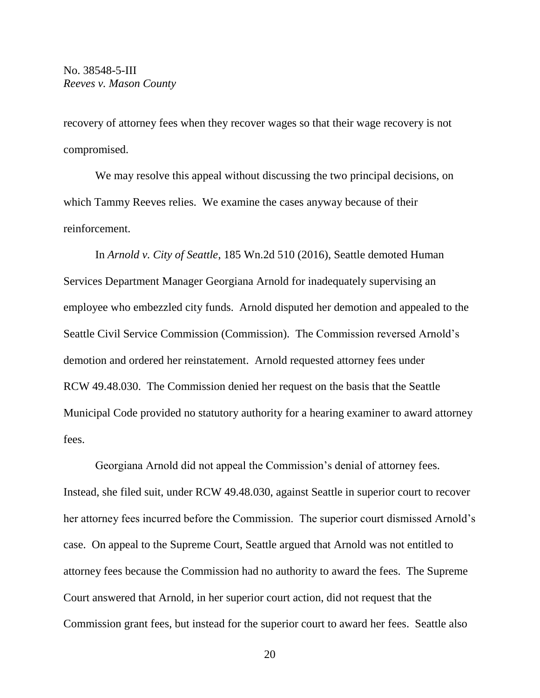recovery of attorney fees when they recover wages so that their wage recovery is not compromised.

We may resolve this appeal without discussing the two principal decisions, on which Tammy Reeves relies. We examine the cases anyway because of their reinforcement.

In *Arnold v. City of Seattle*, 185 Wn.2d 510 (2016), Seattle demoted Human Services Department Manager Georgiana Arnold for inadequately supervising an employee who embezzled city funds. Arnold disputed her demotion and appealed to the Seattle Civil Service Commission (Commission). The Commission reversed Arnold's demotion and ordered her reinstatement. Arnold requested attorney fees under RCW 49.48.030. The Commission denied her request on the basis that the Seattle Municipal Code provided no statutory authority for a hearing examiner to award attorney fees.

Georgiana Arnold did not appeal the Commission's denial of attorney fees. Instead, she filed suit, under RCW 49.48.030, against Seattle in superior court to recover her attorney fees incurred before the Commission. The superior court dismissed Arnold's case. On appeal to the Supreme Court, Seattle argued that Arnold was not entitled to attorney fees because the Commission had no authority to award the fees. The Supreme Court answered that Arnold, in her superior court action, did not request that the Commission grant fees, but instead for the superior court to award her fees. Seattle also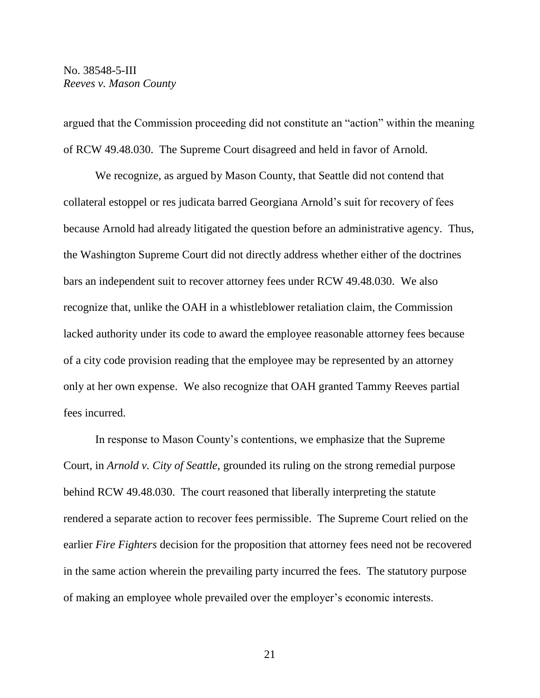argued that the Commission proceeding did not constitute an "action" within the meaning of RCW 49.48.030. The Supreme Court disagreed and held in favor of Arnold.

We recognize, as argued by Mason County, that Seattle did not contend that collateral estoppel or res judicata barred Georgiana Arnold's suit for recovery of fees because Arnold had already litigated the question before an administrative agency. Thus, the Washington Supreme Court did not directly address whether either of the doctrines bars an independent suit to recover attorney fees under RCW 49.48.030. We also recognize that, unlike the OAH in a whistleblower retaliation claim, the Commission lacked authority under its code to award the employee reasonable attorney fees because of a city code provision reading that the employee may be represented by an attorney only at her own expense. We also recognize that OAH granted Tammy Reeves partial fees incurred.

In response to Mason County's contentions, we emphasize that the Supreme Court, in *Arnold v. City of Seattle*, grounded its ruling on the strong remedial purpose behind RCW 49.48.030. The court reasoned that liberally interpreting the statute rendered a separate action to recover fees permissible. The Supreme Court relied on the earlier *Fire Fighters* decision for the proposition that attorney fees need not be recovered in the same action wherein the prevailing party incurred the fees. The statutory purpose of making an employee whole prevailed over the employer's economic interests.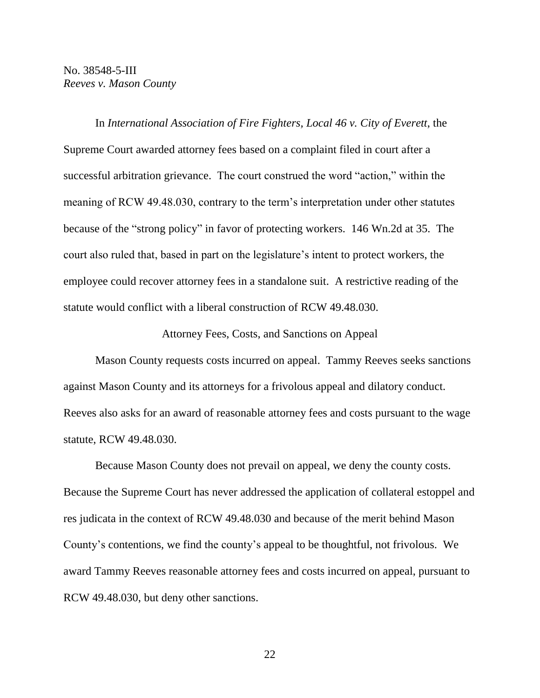In *International Association of Fire Fighters, Local 46 v. City of Everett*, the Supreme Court awarded attorney fees based on a complaint filed in court after a successful arbitration grievance. The court construed the word "action," within the meaning of RCW 49.48.030, contrary to the term's interpretation under other statutes because of the "strong policy" in favor of protecting workers. 146 Wn.2d at 35. The court also ruled that, based in part on the legislature's intent to protect workers, the employee could recover attorney fees in a standalone suit. A restrictive reading of the statute would conflict with a liberal construction of RCW 49.48.030.

Attorney Fees, Costs, and Sanctions on Appeal

Mason County requests costs incurred on appeal. Tammy Reeves seeks sanctions against Mason County and its attorneys for a frivolous appeal and dilatory conduct. Reeves also asks for an award of reasonable attorney fees and costs pursuant to the wage statute, RCW 49.48.030.

Because Mason County does not prevail on appeal, we deny the county costs. Because the Supreme Court has never addressed the application of collateral estoppel and res judicata in the context of RCW 49.48.030 and because of the merit behind Mason County's contentions, we find the county's appeal to be thoughtful, not frivolous. We award Tammy Reeves reasonable attorney fees and costs incurred on appeal, pursuant to RCW 49.48.030, but deny other sanctions.